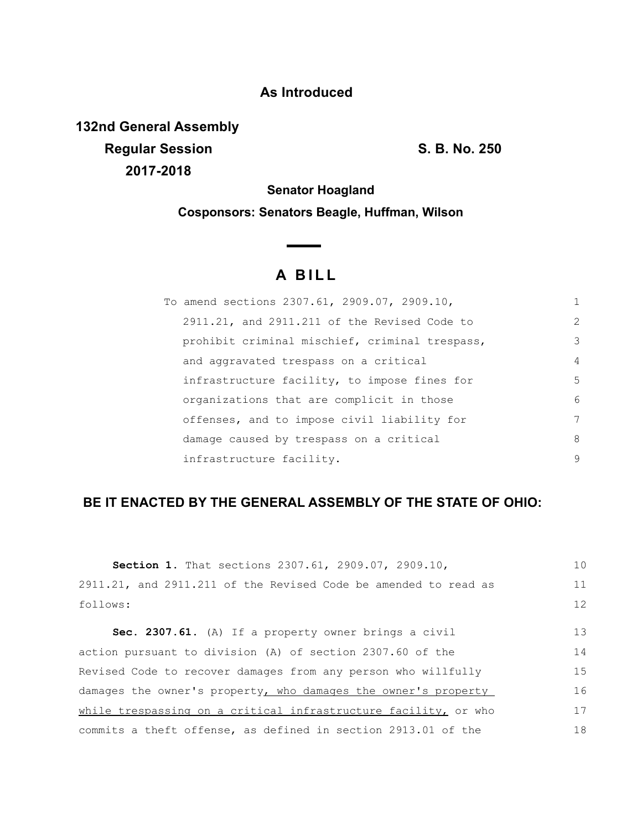## **As Introduced**

**132nd General Assembly Regular Session S. B. No. 250 2017-2018**

**Senator Hoagland**

**Cosponsors: Senators Beagle, Huffman, Wilson**

 $\sim$ 

# **A B I L L**

| To amend sections 2307.61, 2909.07, 2909.10,   | 1              |
|------------------------------------------------|----------------|
| 2911.21, and 2911.211 of the Revised Code to   | $\overline{2}$ |
| prohibit criminal mischief, criminal trespass, | 3              |
| and aggravated trespass on a critical          | $\overline{4}$ |
| infrastructure facility, to impose fines for   | 5              |
| organizations that are complicit in those      | 6              |
| offenses, and to impose civil liability for    | 7              |
| damage caused by trespass on a critical        | 8              |
| infrastructure facility.                       | 9              |

## **BE IT ENACTED BY THE GENERAL ASSEMBLY OF THE STATE OF OHIO:**

| <b>Section 1.</b> That sections 2307.61, 2909.07, 2909.10,      | 10 |
|-----------------------------------------------------------------|----|
| 2911.21, and 2911.211 of the Revised Code be amended to read as | 11 |
| follows:                                                        | 12 |
| Sec. 2307.61. (A) If a property owner brings a civil            | 13 |
| action pursuant to division (A) of section 2307.60 of the       | 14 |
| Revised Code to recover damages from any person who willfully   | 15 |
| damages the owner's property, who damages the owner's property  | 16 |
| while trespassing on a critical infrastructure facility, or who | 17 |
| commits a theft offense, as defined in section 2913.01 of the   | 18 |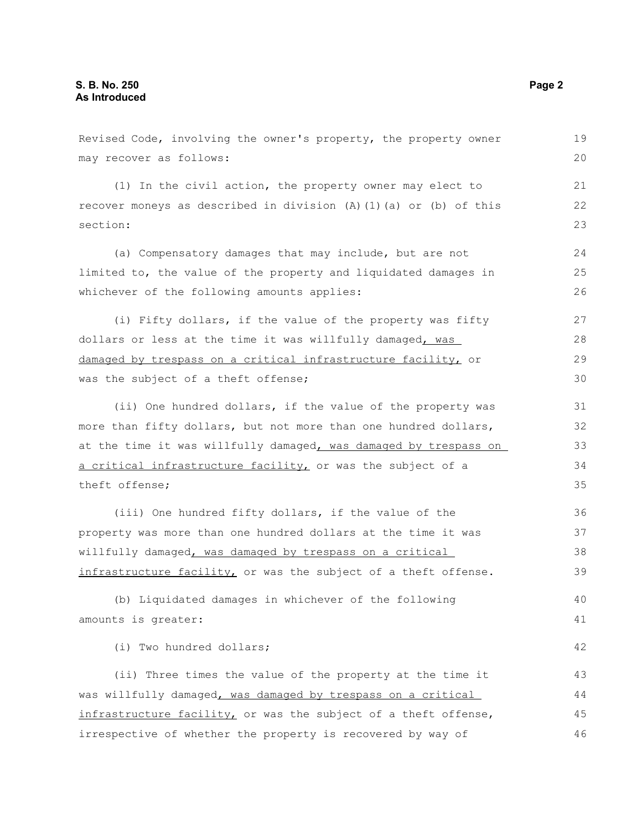Revised Code, involving the owner's property, the property owner may recover as follows: (1) In the civil action, the property owner may elect to recover moneys as described in division (A)(1)(a) or (b) of this section: (a) Compensatory damages that may include, but are not limited to, the value of the property and liquidated damages in whichever of the following amounts applies: (i) Fifty dollars, if the value of the property was fifty dollars or less at the time it was willfully damaged, was damaged by trespass on a critical infrastructure facility, or was the subject of a theft offense; (ii) One hundred dollars, if the value of the property was more than fifty dollars, but not more than one hundred dollars, at the time it was willfully damaged, was damaged by trespass on a critical infrastructure facility, or was the subject of a theft offense; (iii) One hundred fifty dollars, if the value of the property was more than one hundred dollars at the time it was willfully damaged, was damaged by trespass on a critical infrastructure facility, or was the subject of a theft offense. (b) Liquidated damages in whichever of the following amounts is greater: (i) Two hundred dollars; (ii) Three times the value of the property at the time it was willfully damaged, was damaged by trespass on a critical infrastructure facility, or was the subject of a theft offense, irrespective of whether the property is recovered by way of 19 20 21 22 23 24 25 26 27 28 29 30 31 32 33 34 35 36 37 38 39 40 41 42 43 44 45 46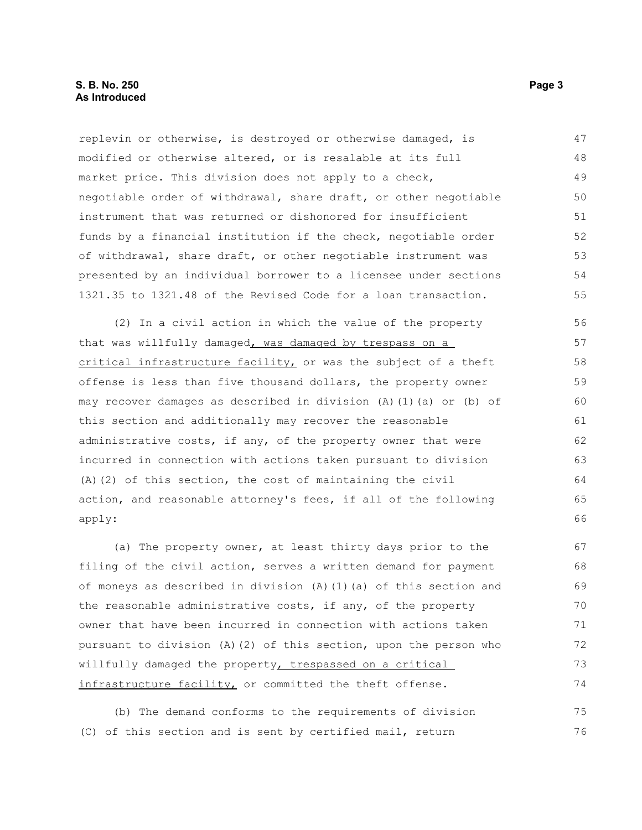replevin or otherwise, is destroyed or otherwise damaged, is modified or otherwise altered, or is resalable at its full market price. This division does not apply to a check, negotiable order of withdrawal, share draft, or other negotiable instrument that was returned or dishonored for insufficient funds by a financial institution if the check, negotiable order of withdrawal, share draft, or other negotiable instrument was presented by an individual borrower to a licensee under sections 1321.35 to 1321.48 of the Revised Code for a loan transaction. 47 48 49 50 51 52 53 54 55

(2) In a civil action in which the value of the property that was willfully damaged, was damaged by trespass on a critical infrastructure facility, or was the subject of a theft offense is less than five thousand dollars, the property owner may recover damages as described in division (A)(1)(a) or (b) of this section and additionally may recover the reasonable administrative costs, if any, of the property owner that were incurred in connection with actions taken pursuant to division (A)(2) of this section, the cost of maintaining the civil action, and reasonable attorney's fees, if all of the following apply: 56 57 58 59 60 61 62 63 64 65 66

(a) The property owner, at least thirty days prior to the filing of the civil action, serves a written demand for payment of moneys as described in division  $(A)$   $(1)$   $(a)$  of this section and the reasonable administrative costs, if any, of the property owner that have been incurred in connection with actions taken pursuant to division (A)(2) of this section, upon the person who willfully damaged the property, trespassed on a critical infrastructure facility, or committed the theft offense. 67 68 69 70 71 72 73 74

(b) The demand conforms to the requirements of division (C) of this section and is sent by certified mail, return 75 76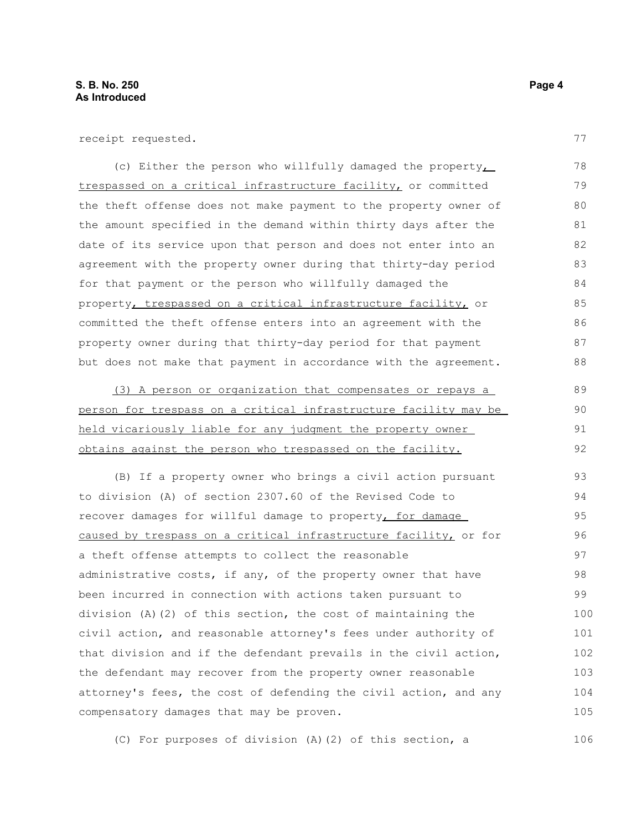receipt requested.

(c) Either the person who willfully damaged the property trespassed on a critical infrastructure facility, or committed the theft offense does not make payment to the property owner of the amount specified in the demand within thirty days after the date of its service upon that person and does not enter into an agreement with the property owner during that thirty-day period for that payment or the person who willfully damaged the property, trespassed on a critical infrastructure facility, or committed the theft offense enters into an agreement with the property owner during that thirty-day period for that payment but does not make that payment in accordance with the agreement. 78 79 80 81 82 83 84 85 86 87 88

(3) A person or organization that compensates or repays a person for trespass on a critical infrastructure facility may be held vicariously liable for any judgment the property owner obtains against the person who trespassed on the facility.

(B) If a property owner who brings a civil action pursuant to division (A) of section 2307.60 of the Revised Code to recover damages for willful damage to property, for damage caused by trespass on a critical infrastructure facility, or for a theft offense attempts to collect the reasonable administrative costs, if any, of the property owner that have been incurred in connection with actions taken pursuant to division (A)(2) of this section, the cost of maintaining the civil action, and reasonable attorney's fees under authority of that division and if the defendant prevails in the civil action, the defendant may recover from the property owner reasonable attorney's fees, the cost of defending the civil action, and any compensatory damages that may be proven. 93 94 95 96 97 98 99 100 101 102 103 104 105

(C) For purposes of division (A)(2) of this section, a 106

77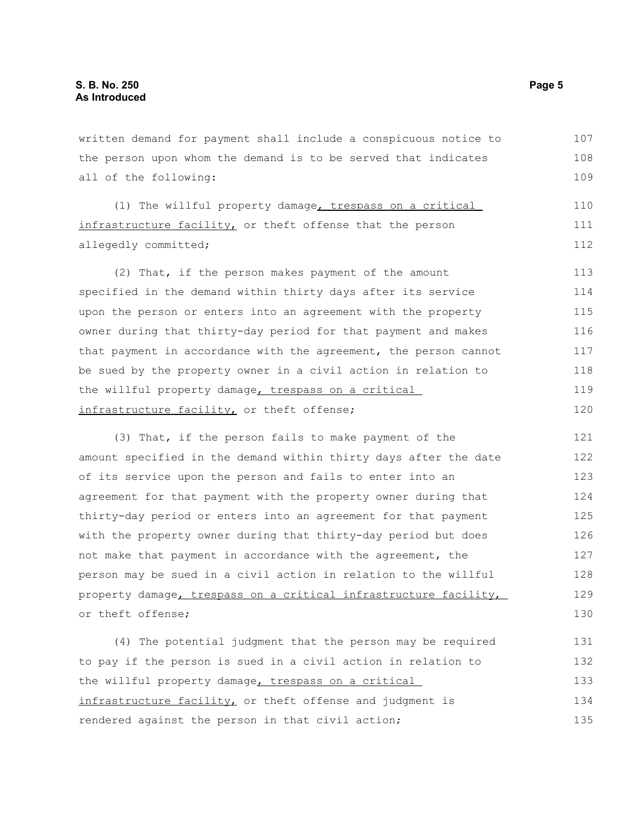written demand for payment shall include a conspicuous notice to the person upon whom the demand is to be served that indicates all of the following: (1) The willful property damage, trespass on a critical infrastructure facility, or theft offense that the person allegedly committed; (2) That, if the person makes payment of the amount specified in the demand within thirty days after its service upon the person or enters into an agreement with the property owner during that thirty-day period for that payment and makes that payment in accordance with the agreement, the person cannot be sued by the property owner in a civil action in relation to the willful property damage, trespass on a critical infrastructure facility, or theft offense; (3) That, if the person fails to make payment of the amount specified in the demand within thirty days after the date of its service upon the person and fails to enter into an agreement for that payment with the property owner during that thirty-day period or enters into an agreement for that payment with the property owner during that thirty-day period but does not make that payment in accordance with the agreement, the person may be sued in a civil action in relation to the willful property damage, trespass on a critical infrastructure facility, or theft offense; (4) The potential judgment that the person may be required to pay if the person is sued in a civil action in relation to the willful property damage, trespass on a critical infrastructure facility, or theft offense and judgment is 107 108 109 110 111 112 113 114 115 116 117 118 119 120 121 122 123 124 125 126 127 128 129 130 131 132 133 134

rendered against the person in that civil action;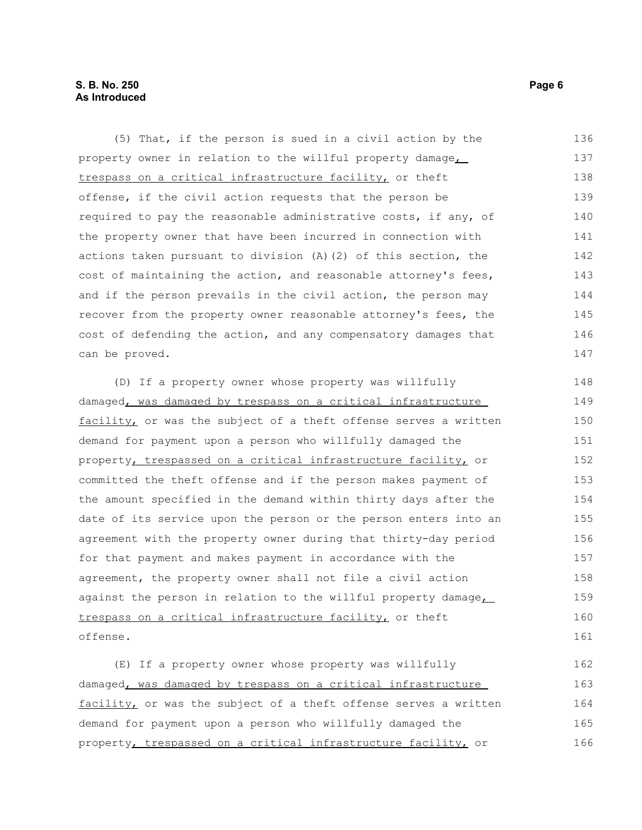#### **S. B. No. 250 Page 6 As Introduced**

(5) That, if the person is sued in a civil action by the property owner in relation to the willful property damage, trespass on a critical infrastructure facility, or theft offense, if the civil action requests that the person be required to pay the reasonable administrative costs, if any, of the property owner that have been incurred in connection with actions taken pursuant to division (A)(2) of this section, the cost of maintaining the action, and reasonable attorney's fees, and if the person prevails in the civil action, the person may recover from the property owner reasonable attorney's fees, the cost of defending the action, and any compensatory damages that can be proved. 136 137 138 139 140 141 142 143 144 145 146 147

(D) If a property owner whose property was willfully damaged, was damaged by trespass on a critical infrastructure facility, or was the subject of a theft offense serves a written demand for payment upon a person who willfully damaged the property, trespassed on a critical infrastructure facility, or committed the theft offense and if the person makes payment of the amount specified in the demand within thirty days after the date of its service upon the person or the person enters into an agreement with the property owner during that thirty-day period for that payment and makes payment in accordance with the agreement, the property owner shall not file a civil action against the person in relation to the willful property damage, trespass on a critical infrastructure facility, or theft offense. 148 149 150 151 152 153 154 155 156 157 158 159 160 161

(E) If a property owner whose property was willfully damaged, was damaged by trespass on a critical infrastructure facility, or was the subject of a theft offense serves a written demand for payment upon a person who willfully damaged the property, trespassed on a critical infrastructure facility, or 162 163 164 165 166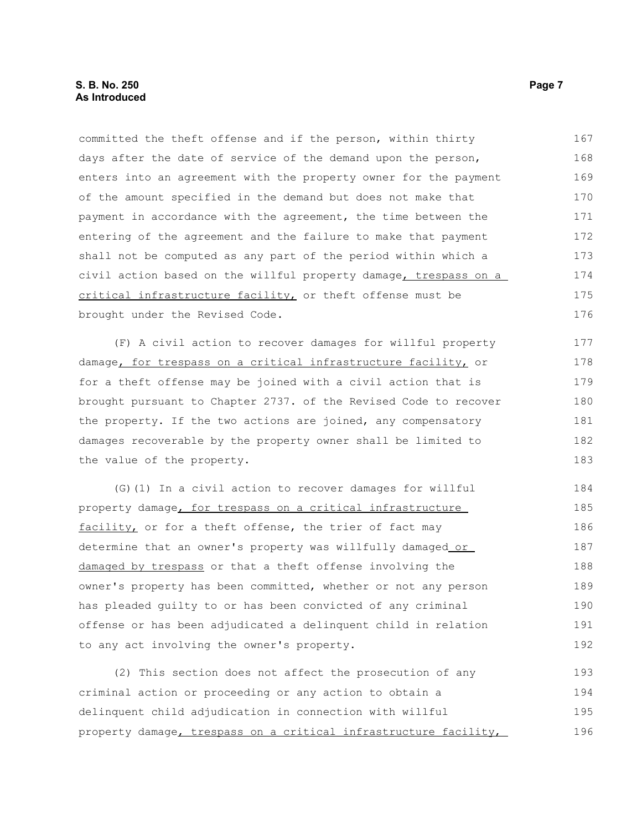committed the theft offense and if the person, within thirty days after the date of service of the demand upon the person, enters into an agreement with the property owner for the payment of the amount specified in the demand but does not make that payment in accordance with the agreement, the time between the entering of the agreement and the failure to make that payment shall not be computed as any part of the period within which a civil action based on the willful property damage, trespass on a critical infrastructure facility, or theft offense must be brought under the Revised Code. 167 168 169 170 171 172 173 174 175 176

(F) A civil action to recover damages for willful property damage, for trespass on a critical infrastructure facility, or for a theft offense may be joined with a civil action that is brought pursuant to Chapter 2737. of the Revised Code to recover the property. If the two actions are joined, any compensatory damages recoverable by the property owner shall be limited to the value of the property. 177 178 179 180 181 182 183

(G)(1) In a civil action to recover damages for willful property damage, for trespass on a critical infrastructure facility, or for a theft offense, the trier of fact may determine that an owner's property was willfully damaged or damaged by trespass or that a theft offense involving the owner's property has been committed, whether or not any person has pleaded guilty to or has been convicted of any criminal offense or has been adjudicated a delinquent child in relation to any act involving the owner's property. 184 185 186 187 188 189 190 191 192

(2) This section does not affect the prosecution of any criminal action or proceeding or any action to obtain a delinquent child adjudication in connection with willful property damage, trespass on a critical infrastructure facility, 193 194 195 196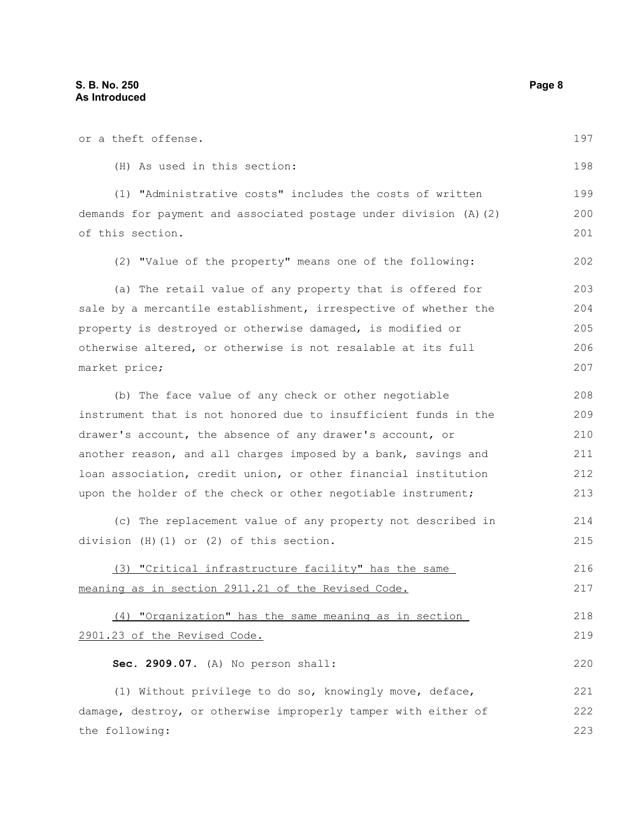or a theft offense. (H) As used in this section: (1) "Administrative costs" includes the costs of written demands for payment and associated postage under division (A)(2) of this section. (2) "Value of the property" means one of the following: (a) The retail value of any property that is offered for sale by a mercantile establishment, irrespective of whether the property is destroyed or otherwise damaged, is modified or otherwise altered, or otherwise is not resalable at its full market price; (b) The face value of any check or other negotiable instrument that is not honored due to insufficient funds in the drawer's account, the absence of any drawer's account, or another reason, and all charges imposed by a bank, savings and loan association, credit union, or other financial institution upon the holder of the check or other negotiable instrument; (c) The replacement value of any property not described in division (H)(1) or (2) of this section. (3) "Critical infrastructure facility" has the same meaning as in section 2911.21 of the Revised Code. (4) "Organization" has the same meaning as in section 2901.23 of the Revised Code. **Sec. 2909.07.** (A) No person shall: (1) Without privilege to do so, knowingly move, deface, damage, destroy, or otherwise improperly tamper with either of the following: 197 198 199 200 201 202 203 204 205 206 207 208 209 210 211 212 213 214 215 216 217 218 219 220 221 222 223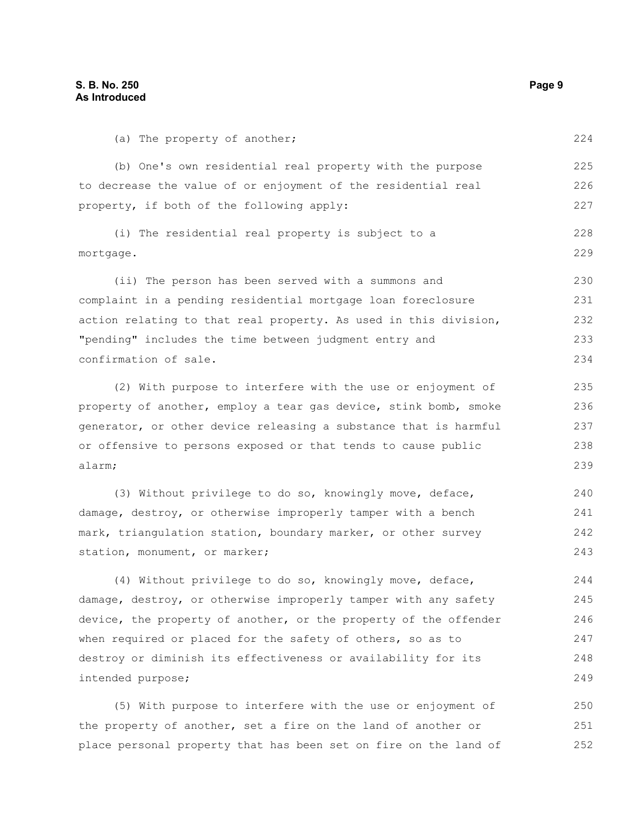(a) The property of another;

(b) One's own residential real property with the purpose to decrease the value of or enjoyment of the residential real property, if both of the following apply: (i) The residential real property is subject to a mortgage. (ii) The person has been served with a summons and complaint in a pending residential mortgage loan foreclosure action relating to that real property. As used in this division, 225 226 227 228 229 230 231 232

"pending" includes the time between judgment entry and confirmation of sale. (2) With purpose to interfere with the use or enjoyment of 233 234 235

property of another, employ a tear gas device, stink bomb, smoke generator, or other device releasing a substance that is harmful or offensive to persons exposed or that tends to cause public alarm;

(3) Without privilege to do so, knowingly move, deface, damage, destroy, or otherwise improperly tamper with a bench mark, triangulation station, boundary marker, or other survey station, monument, or marker; 240 241 242 243

(4) Without privilege to do so, knowingly move, deface, damage, destroy, or otherwise improperly tamper with any safety device, the property of another, or the property of the offender when required or placed for the safety of others, so as to destroy or diminish its effectiveness or availability for its intended purpose;

(5) With purpose to interfere with the use or enjoyment of the property of another, set a fire on the land of another or place personal property that has been set on fire on the land of 250 251 252

224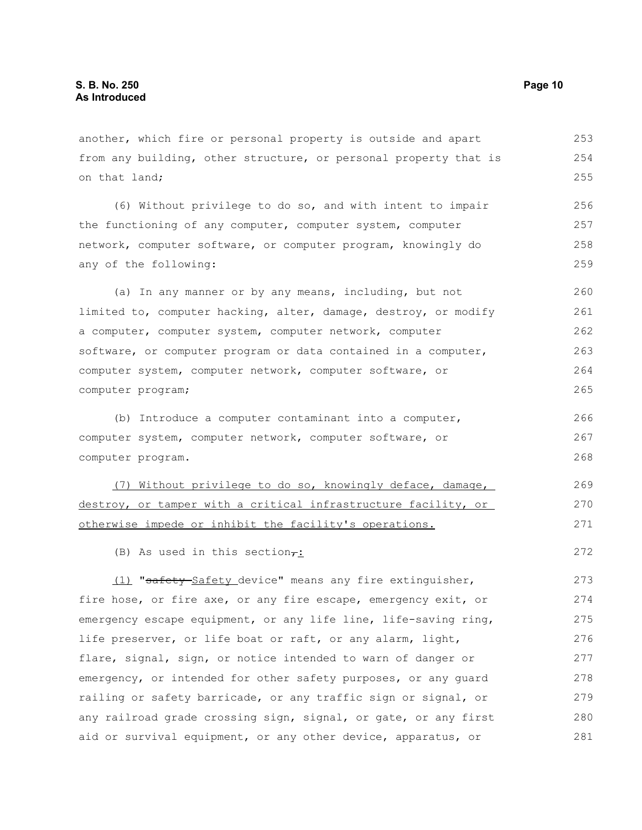another, which fire or personal property is outside and apart from any building, other structure, or personal property that is on that land; 253 254 255

(6) Without privilege to do so, and with intent to impair the functioning of any computer, computer system, computer network, computer software, or computer program, knowingly do any of the following: 256 257 258 259

(a) In any manner or by any means, including, but not limited to, computer hacking, alter, damage, destroy, or modify a computer, computer system, computer network, computer software, or computer program or data contained in a computer, computer system, computer network, computer software, or computer program; 260 261 262 263 264 265

(b) Introduce a computer contaminant into a computer, computer system, computer network, computer software, or computer program. 266 267 268

(7) Without privilege to do so, knowingly deface, damage, destroy, or tamper with a critical infrastructure facility, or otherwise impede or inhibit the facility's operations. 269 270 271

(B) As used in this section $\tau$ :

(1) "safety Safety device" means any fire extinguisher, fire hose, or fire axe, or any fire escape, emergency exit, or emergency escape equipment, or any life line, life-saving ring, life preserver, or life boat or raft, or any alarm, light, flare, signal, sign, or notice intended to warn of danger or emergency, or intended for other safety purposes, or any guard railing or safety barricade, or any traffic sign or signal, or any railroad grade crossing sign, signal, or gate, or any first aid or survival equipment, or any other device, apparatus, or 273 274 275 276 277 278 279 280 281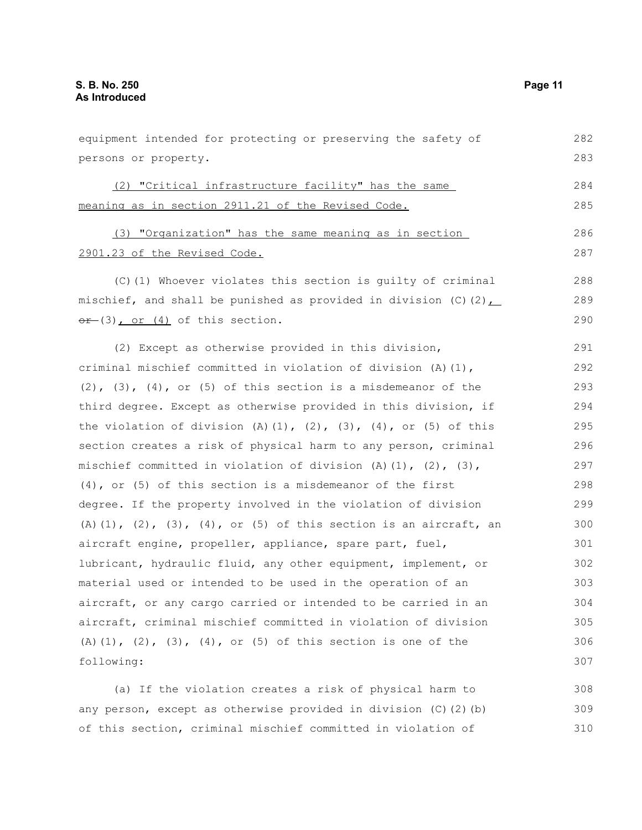equipment intended for protecting or preserving the safety of persons or property. (2) "Critical infrastructure facility" has the same meaning as in section 2911.21 of the Revised Code. (3) "Organization" has the same meaning as in section 2901.23 of the Revised Code. (C)(1) Whoever violates this section is guilty of criminal mischief, and shall be punished as provided in division  $(C)(2)$ ,  $er-(3)$ , or  $(4)$  of this section. (2) Except as otherwise provided in this division, criminal mischief committed in violation of division (A)(1),  $(2)$ ,  $(3)$ ,  $(4)$ , or  $(5)$  of this section is a misdemeanor of the third degree. Except as otherwise provided in this division, if the violation of division  $(A)$   $(1)$ ,  $(2)$ ,  $(3)$ ,  $(4)$ , or  $(5)$  of this section creates a risk of physical harm to any person, criminal mischief committed in violation of division  $(A)$   $(1)$ ,  $(2)$ ,  $(3)$ , (4), or (5) of this section is a misdemeanor of the first degree. If the property involved in the violation of division (A)(1), (2), (3), (4), or (5) of this section is an aircraft, an aircraft engine, propeller, appliance, spare part, fuel, lubricant, hydraulic fluid, any other equipment, implement, or material used or intended to be used in the operation of an aircraft, or any cargo carried or intended to be carried in an aircraft, criminal mischief committed in violation of division  $(A)$   $(1)$ ,  $(2)$ ,  $(3)$ ,  $(4)$ , or  $(5)$  of this section is one of the following: (a) If the violation creates a risk of physical harm to any person, except as otherwise provided in division (C)(2)(b) 282 283 284 285 286 287 288 289 290 291 292 293 294 295 296 297 298 299 300 301 302 303 304 305 306 307 308 309

of this section, criminal mischief committed in violation of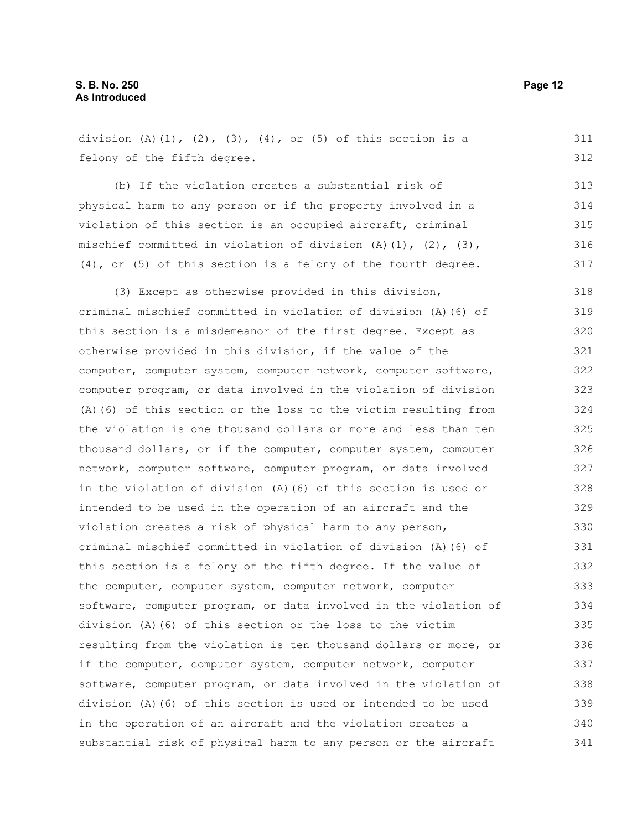division  $(A)$   $(1)$ ,  $(2)$ ,  $(3)$ ,  $(4)$ , or  $(5)$  of this section is a felony of the fifth degree. (b) If the violation creates a substantial risk of physical harm to any person or if the property involved in a violation of this section is an occupied aircraft, criminal mischief committed in violation of division  $(A)$   $(1)$ ,  $(2)$ ,  $(3)$ , (4), or (5) of this section is a felony of the fourth degree. (3) Except as otherwise provided in this division, criminal mischief committed in violation of division (A)(6) of this section is a misdemeanor of the first degree. Except as otherwise provided in this division, if the value of the computer, computer system, computer network, computer software, computer program, or data involved in the violation of division (A)(6) of this section or the loss to the victim resulting from the violation is one thousand dollars or more and less than ten thousand dollars, or if the computer, computer system, computer network, computer software, computer program, or data involved in the violation of division (A)(6) of this section is used or intended to be used in the operation of an aircraft and the violation creates a risk of physical harm to any person, criminal mischief committed in violation of division (A)(6) of this section is a felony of the fifth degree. If the value of the computer, computer system, computer network, computer software, computer program, or data involved in the violation of division (A)(6) of this section or the loss to the victim resulting from the violation is ten thousand dollars or more, or if the computer, computer system, computer network, computer software, computer program, or data involved in the violation of division (A)(6) of this section is used or intended to be used in the operation of an aircraft and the violation creates a substantial risk of physical harm to any person or the aircraft 311 312 313 314 315 316 317 318 319 320 321 322 323 324 325 326 327 328 329 330 331 332 333 334 335 336 337 338 339 340 341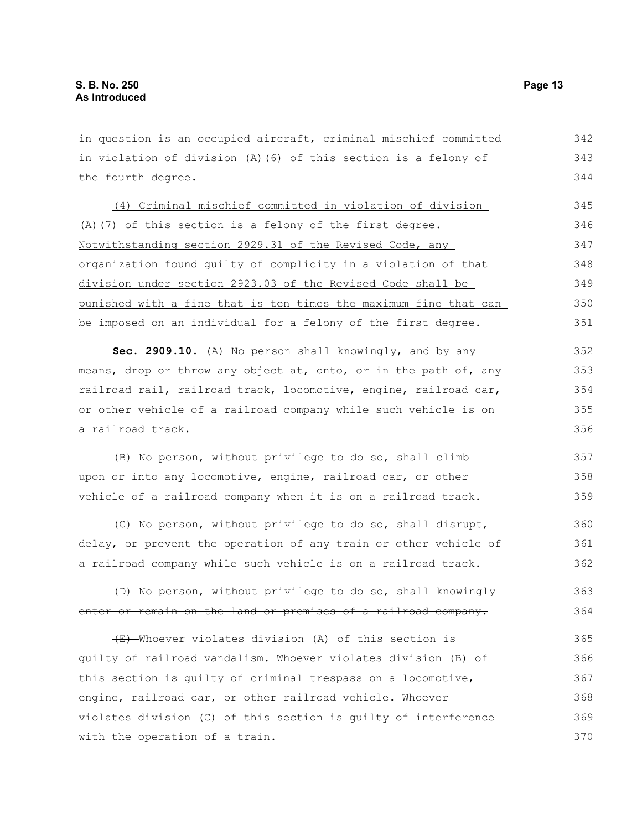in question is an occupied aircraft, criminal mischief committed in violation of division (A)(6) of this section is a felony of the fourth degree. (4) Criminal mischief committed in violation of division (A)(7) of this section is a felony of the first degree. Notwithstanding section 2929.31 of the Revised Code, any organization found guilty of complicity in a violation of that division under section 2923.03 of the Revised Code shall be punished with a fine that is ten times the maximum fine that can be imposed on an individual for a felony of the first degree. **Sec. 2909.10.** (A) No person shall knowingly, and by any means, drop or throw any object at, onto, or in the path of, any railroad rail, railroad track, locomotive, engine, railroad car, or other vehicle of a railroad company while such vehicle is on a railroad track. 342 343 344 345 346 347 348 349 350 351 352 353 354 355 356

(B) No person, without privilege to do so, shall climb upon or into any locomotive, engine, railroad car, or other vehicle of a railroad company when it is on a railroad track. 357 358 359

(C) No person, without privilege to do so, shall disrupt, delay, or prevent the operation of any train or other vehicle of a railroad company while such vehicle is on a railroad track. 360 361 362

#### (D) No person, without privilege to do so, shall knowinglyenter or remain on the land or premises of a railroad company. 363 364

(E) Whoever violates division (A) of this section is guilty of railroad vandalism. Whoever violates division (B) of this section is guilty of criminal trespass on a locomotive, engine, railroad car, or other railroad vehicle. Whoever violates division (C) of this section is guilty of interference with the operation of a train. 365 366 367 368 369 370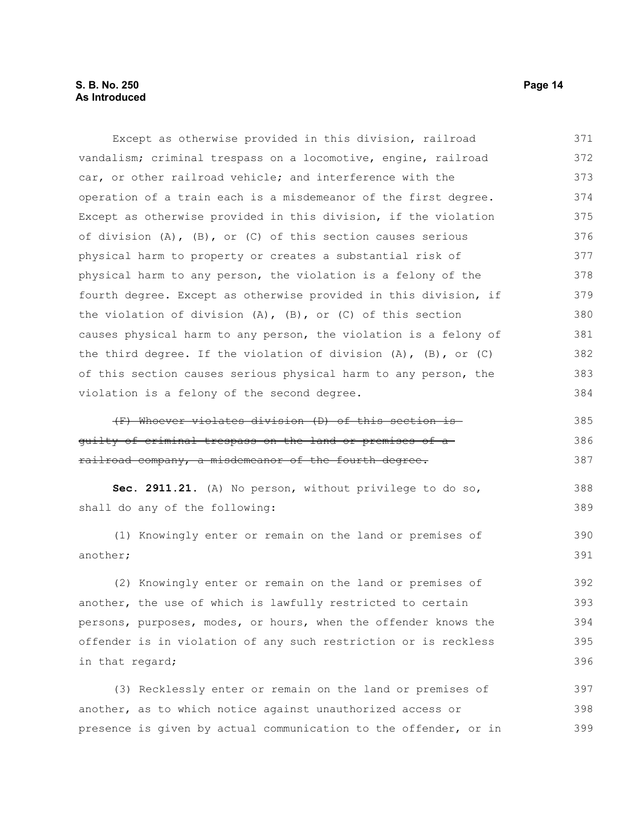Except as otherwise provided in this division, railroad vandalism; criminal trespass on a locomotive, engine, railroad car, or other railroad vehicle; and interference with the operation of a train each is a misdemeanor of the first degree. Except as otherwise provided in this division, if the violation of division (A), (B), or (C) of this section causes serious physical harm to property or creates a substantial risk of physical harm to any person, the violation is a felony of the fourth degree. Except as otherwise provided in this division, if the violation of division (A), (B), or (C) of this section causes physical harm to any person, the violation is a felony of the third degree. If the violation of division  $(A)$ ,  $(B)$ , or  $(C)$ of this section causes serious physical harm to any person, the violation is a felony of the second degree. (F) Whoever violates division (D) of this section is guilty of criminal trespass on the land or premises of a railroad company, a misdemeanor of the fourth degree. **Sec. 2911.21.** (A) No person, without privilege to do so, shall do any of the following: (1) Knowingly enter or remain on the land or premises of another; (2) Knowingly enter or remain on the land or premises of another, the use of which is lawfully restricted to certain persons, purposes, modes, or hours, when the offender knows the offender is in violation of any such restriction or is reckless in that regard; 371 372 373 374 375 376 377 378 379 380 381 382 383 384 385 386 387 388 389 390 391 392 393 394 395 396

(3) Recklessly enter or remain on the land or premises of another, as to which notice against unauthorized access or presence is given by actual communication to the offender, or in 397 398 399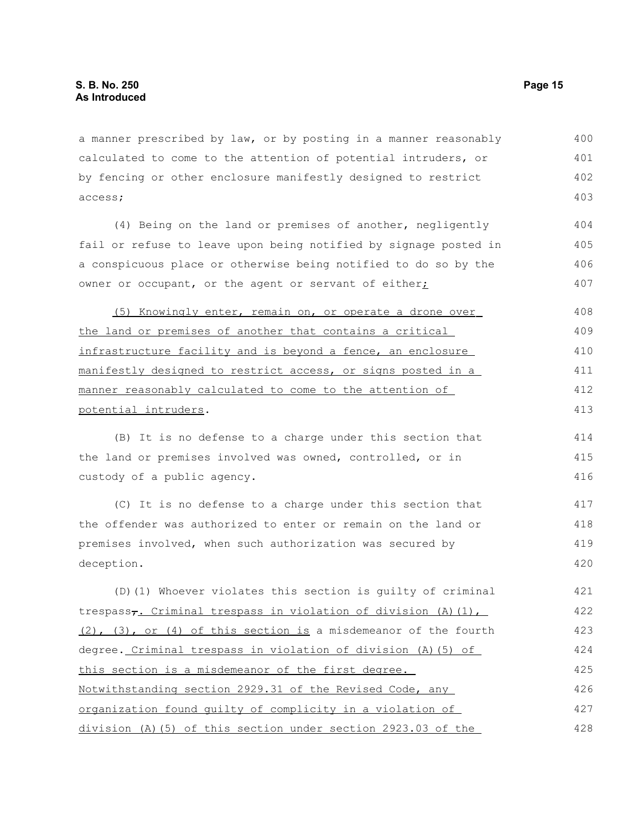a manner prescribed by law, or by posting in a manner reasonably calculated to come to the attention of potential intruders, or by fencing or other enclosure manifestly designed to restrict access; 400 401 402 403

(4) Being on the land or premises of another, negligently fail or refuse to leave upon being notified by signage posted in a conspicuous place or otherwise being notified to do so by the owner or occupant, or the agent or servant of either;

 (5) Knowingly enter, remain on, or operate a drone over the land or premises of another that contains a critical infrastructure facility and is beyond a fence, an enclosure manifestly designed to restrict access, or signs posted in a manner reasonably calculated to come to the attention of potential intruders. 408 409 410 411 412 413

(B) It is no defense to a charge under this section that the land or premises involved was owned, controlled, or in custody of a public agency.

(C) It is no defense to a charge under this section that the offender was authorized to enter or remain on the land or premises involved, when such authorization was secured by deception. 417 418 419 420

(D)(1) Whoever violates this section is guilty of criminal trespass<sub>7</sub>. Criminal trespass in violation of division (A)(1), (2), (3), or (4) of this section is a misdemeanor of the fourth degree. Criminal trespass in violation of division (A)(5) of this section is a misdemeanor of the first degree. Notwithstanding section 2929.31 of the Revised Code, any organization found guilty of complicity in a violation of division (A)(5) of this section under section 2923.03 of the 421 422 423 424 425 426 427 428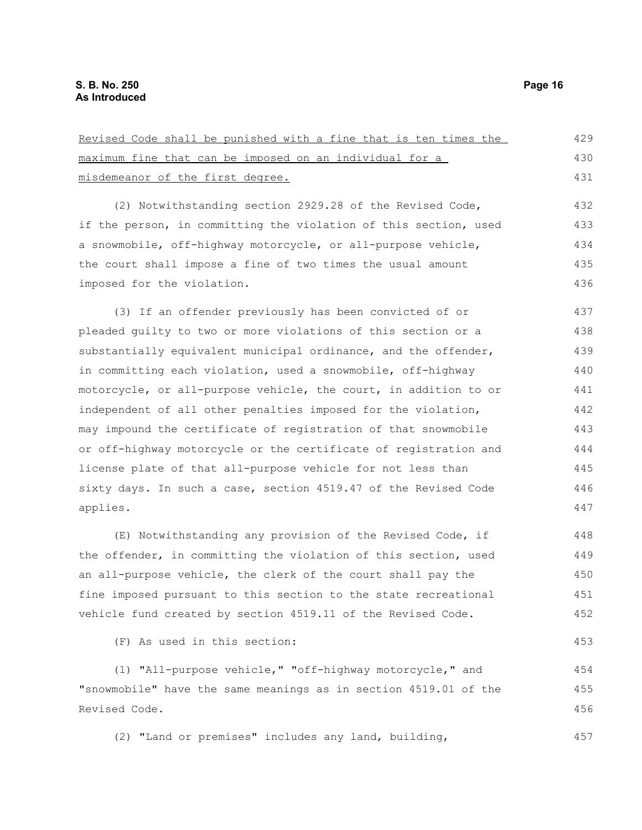Revised Code shall be punished with a fine that is ten times the maximum fine that can be imposed on an individual for a misdemeanor of the first degree. (2) Notwithstanding section 2929.28 of the Revised Code, if the person, in committing the violation of this section, used a snowmobile, off-highway motorcycle, or all-purpose vehicle, the court shall impose a fine of two times the usual amount imposed for the violation. (3) If an offender previously has been convicted of or pleaded guilty to two or more violations of this section or a substantially equivalent municipal ordinance, and the offender, in committing each violation, used a snowmobile, off-highway motorcycle, or all-purpose vehicle, the court, in addition to or independent of all other penalties imposed for the violation, may impound the certificate of registration of that snowmobile or off-highway motorcycle or the certificate of registration and license plate of that all-purpose vehicle for not less than sixty days. In such a case, section 4519.47 of the Revised Code applies. (E) Notwithstanding any provision of the Revised Code, if the offender, in committing the violation of this section, used an all-purpose vehicle, the clerk of the court shall pay the fine imposed pursuant to this section to the state recreational vehicle fund created by section 4519.11 of the Revised Code. (F) As used in this section: (1) "All-purpose vehicle," "off-highway motorcycle," and "snowmobile" have the same meanings as in section 4519.01 of the Revised Code. 429 430 431 432 433 434 435 436 437 438 439 440 441 442 443 444 445 446 447 448 449 450 451 452 453 454 455 456

(2) "Land or premises" includes any land, building, 457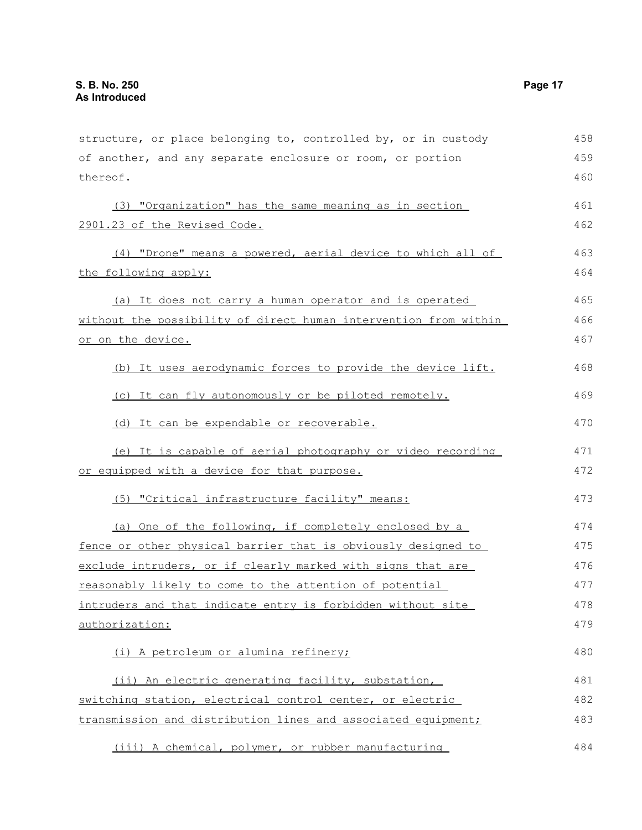| structure, or place belonging to, controlled by, or in custody   | 458 |
|------------------------------------------------------------------|-----|
| of another, and any separate enclosure or room, or portion       | 459 |
| thereof.                                                         | 460 |
| (3) "Organization" has the same meaning as in section            | 461 |
| 2901.23 of the Revised Code.                                     | 462 |
| (4) "Drone" means a powered, aerial device to which all of       | 463 |
| the following apply:                                             | 464 |
| (a) It does not carry a human operator and is operated           | 465 |
| without the possibility of direct human intervention from within | 466 |
| or on the device.                                                |     |
| (b) It uses aerodynamic forces to provide the device lift.       | 468 |
| (c) It can fly autonomously or be piloted remotely.              | 469 |
| (d) It can be expendable or recoverable.                         | 470 |
| (e) It is capable of aerial photography or video recording       | 471 |
| or equipped with a device for that purpose.                      | 472 |
| (5) "Critical infrastructure facility" means:                    | 473 |
| (a) One of the following, if completely enclosed by a            | 474 |
| fence or other physical barrier that is obviously designed to    | 475 |
| exclude intruders, or if clearly marked with signs that are      | 476 |
| reasonably likely to come to the attention of potential          | 477 |
| intruders and that indicate entry is forbidden without site      | 478 |
| authorization:                                                   | 479 |
| (i) A petroleum or alumina refinery;                             | 480 |
| (ii) An electric generating facility, substation,                | 481 |
| switching station, electrical control center, or electric        | 482 |
| transmission and distribution lines and associated equipment;    | 483 |
| (iii) A chemical, polymer, or rubber manufacturing               | 484 |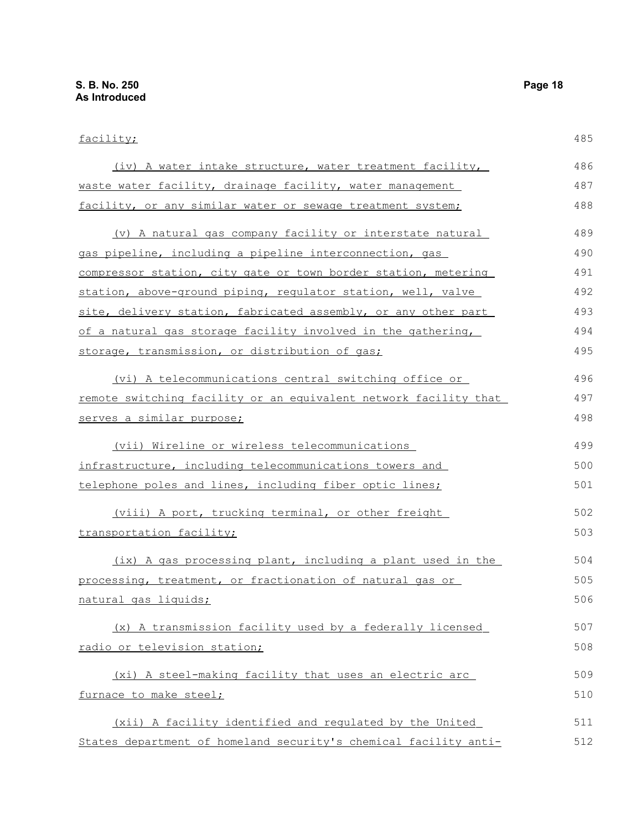facility;

(iv) A water intake structure, water treatment facility, waste water facility, drainage facility, water management facility, or any similar water or sewage treatment system; (v) A natural gas company facility or interstate natural gas pipeline, including a pipeline interconnection, gas compressor station, city gate or town border station, metering station, above-ground piping, regulator station, well, valve site, delivery station, fabricated assembly, or any other part of a natural gas storage facility involved in the gathering, storage, transmission, or distribution of gas; (vi) A telecommunications central switching office or remote switching facility or an equivalent network facility that serves a similar purpose; (vii) Wireline or wireless telecommunications infrastructure, including telecommunications towers and telephone poles and lines, including fiber optic lines; (viii) A port, trucking terminal, or other freight transportation facility; (ix) A gas processing plant, including a plant used in the 485 486 487 488 489 490 491 492 493 494 495 496 497 498 499 500 501 502 503 504

processing, treatment, or fractionation of natural gas or natural gas liquids; 505 506

 (x) A transmission facility used by a federally licensed radio or television station; 507 508

(xi) A steel-making facility that uses an electric arc furnace to make steel; 509 510

 (xii) A facility identified and regulated by the United States department of homeland security's chemical facility anti-511 512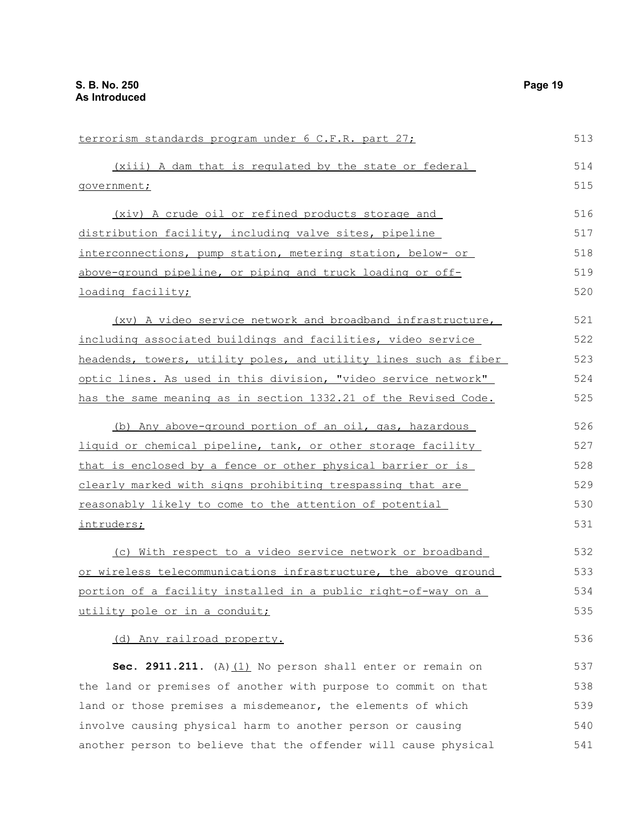| terrorism standards program under 6 C.F.R. part 27;              |     |
|------------------------------------------------------------------|-----|
| (xiii) A dam that is regulated by the state or federal           | 514 |
| government;                                                      |     |
| (xiv) A crude oil or refined products storage and                | 516 |
| distribution facility, including valve sites, pipeline           | 517 |
| interconnections, pump station, metering station, below- or      | 518 |
| above-ground pipeline, or piping and truck loading or off-       | 519 |
| <u>loading facility;</u>                                         | 520 |
| (xv) A video service network and broadband infrastructure,       | 521 |
| including associated buildings and facilities, video service     | 522 |
| headends, towers, utility poles, and utility lines such as fiber | 523 |
| optic lines. As used in this division, "video service network"   | 524 |
| has the same meaning as in section 1332.21 of the Revised Code.  | 525 |
| (b) Any above-ground portion of an oil, gas, hazardous           | 526 |
| liquid or chemical pipeline, tank, or other storage facility     | 527 |
| that is enclosed by a fence or other physical barrier or is      | 528 |
| clearly marked with signs prohibiting trespassing that are       | 529 |
| reasonably likely to come to the attention of potential          | 530 |
| intruders;                                                       | 531 |
| (c) With respect to a video service network or broadband         | 532 |
| or wireless telecommunications infrastructure, the above ground  | 533 |
| portion of a facility installed in a public right-of-way on a    | 534 |
| utility pole or in a conduit;                                    | 535 |
| (d) Any railroad property.                                       | 536 |
| Sec. 2911.211. $(A)$ $(1)$ No person shall enter or remain on    | 537 |
| the land or premises of another with purpose to commit on that   | 538 |
| land or those premises a misdemeanor, the elements of which      | 539 |
| involve causing physical harm to another person or causing       | 540 |
| another person to believe that the offender will cause physical  | 541 |